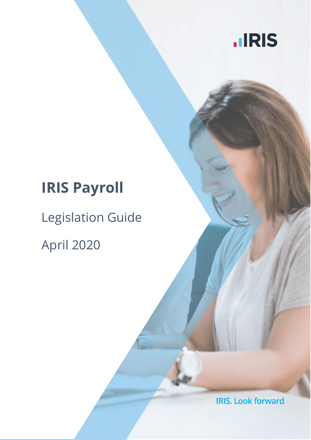

# **IRIS Payroll**

# Legislation Guide April 2020

**IRIS. Look forward**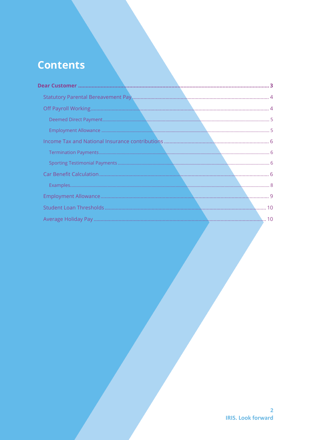## **Contents**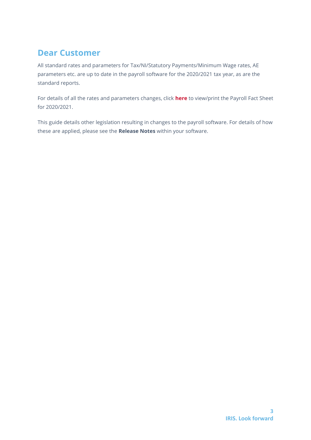## <span id="page-2-0"></span>**Dear Customer**

All standard rates and parameters for Tax/NI/Statutory Payments/Minimum Wage rates, AE parameters etc. are up to date in the payroll software for the 2020/2021 tax year, as are the standard reports.

For details of all the rates and parameters changes, click **[here](http://www.iris.co.uk/rates)** to view/print the Payroll Fact Sheet for 2020/2021.

This guide details other legislation resulting in changes to the payroll software. For details of how these are applied, please see the **Release Notes** within your software.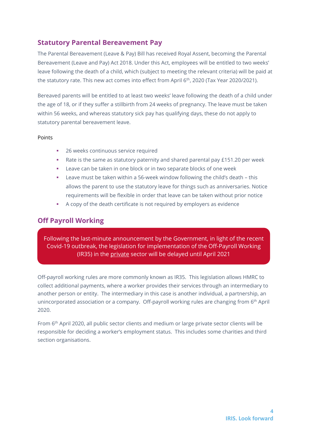## <span id="page-3-0"></span>**Statutory Parental Bereavement Pay**

The Parental Bereavement (Leave & Pay) Bill has received Royal Assent, becoming the Parental Bereavement (Leave and Pay) Act 2018. Under this Act, employees will be entitled to two weeks' leave following the death of a child, which (subject to meeting the relevant criteria) will be paid at the statutory rate. This new act comes into effect from April 6<sup>th</sup>, 2020 (Tax Year 2020/2021).

Bereaved parents will be entitled to at least two weeks' leave following the death of a child under the age of 18, or if they suffer a stillbirth from 24 weeks of pregnancy. The leave must be taken within 56 weeks, and whereas statutory sick pay has qualifying days, these do not apply to statutory parental bereavement leave.

#### Points

- 26 weeks continuous service required
- Rate is the same as statutory paternity and shared parental pay £151.20 per week
- Leave can be taken in one block or in two separate blocks of one week
- Leave must be taken within a 56-week window following the child's death this allows the parent to use the statutory leave for things such as anniversaries. Notice requirements will be flexible in order that leave can be taken without prior notice
- A copy of the death certificate is not required by employers as evidence

## <span id="page-3-1"></span>**Off Payroll Working**

Following the last-minute announcement by the Government, in light of the recent Covid-19 outbreak, the legislation for implementation of the Off-Payroll Working (IR35) in the private sector will be delayed until April 2021

Off-payroll working rules are more commonly known as IR35. This legislation allows HMRC to collect additional payments, where a worker provides their services through an intermediary to another person or entity. The intermediary in this case is another individual, a partnership, an unincorporated association or a company. Off-payroll working rules are changing from 6<sup>th</sup> April 2020.

From 6th April 2020, all public sector clients and medium or large private sector clients will be responsible for deciding a worker's employment status. This includes some charities and third section organisations.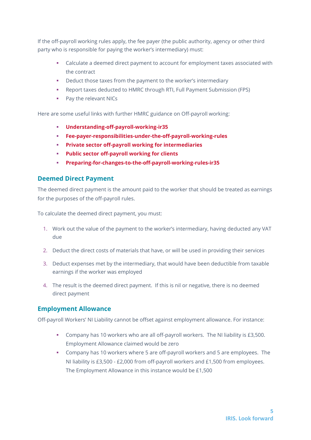If the off-payroll working rules apply, the fee payer (the public authority, agency or other third party who is responsible for paying the worker's intermediary) must:

- Calculate a deemed direct payment to account for employment taxes associated with the contract
- Deduct those taxes from the payment to the worker's intermediary
- Report taxes deducted to HMRC through RTI, Full Payment Submission (FPS)
- Pay the relevant NICs

Here are some useful links with further HMRC guidance on Off-payroll working:

- **[Understanding-off-payroll-working-ir35](https://www.gov.uk/guidance/understanding-off-payroll-working-ir35)**
- **[Fee-payer-responsibilities-under-the-off-payroll-working-rules](https://www.gov.uk/guidance/fee-payer-responsibilities-under-the-off-payroll-working-rules)**
- **[Private sector off-payroll working for intermediaries](https://www.gov.uk/guidance/ir35-what-to-do-if-it-applies)**
- **[Public sector off-payroll working for clients](https://www.gov.uk/guidance/off-payroll-working-in-the-public-sector-reform-of-intermediaries-legislation)**
- **[Preparing-for-changes-to-the-off-payroll-working-rules-ir35](https://www.gov.uk/guidance/prepare-for-changes-to-the-off-payroll-working-rules-ir35)**

#### <span id="page-4-0"></span>**Deemed Direct Payment**

The deemed direct payment is the amount paid to the worker that should be treated as earnings for the purposes of the off-payroll rules.

To calculate the deemed direct payment, you must:

- 1. Work out the value of the payment to the worker's intermediary, having deducted any VAT due
- 2. Deduct the direct costs of materials that have, or will be used in providing their services
- 3. Deduct expenses met by the intermediary, that would have been deductible from taxable earnings if the worker was employed
- 4. The result is the deemed direct payment. If this is nil or negative, there is no deemed direct payment

#### <span id="page-4-1"></span>**Employment Allowance**

Off-payroll Workers' NI Liability cannot be offset against employment allowance. For instance:

- Company has 10 workers who are all off-payroll workers. The NI liability is £3,500. Employment Allowance claimed would be zero
- Company has 10 workers where 5 are off-payroll workers and 5 are employees. The NI liability is £3,500 - £2,000 from off-payroll workers and £1,500 from employees. The Employment Allowance in this instance would be £1,500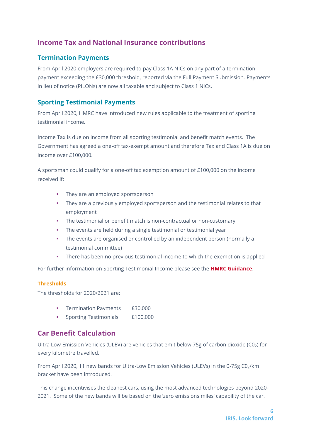## <span id="page-5-0"></span>**Income Tax and National Insurance contributions**

#### <span id="page-5-1"></span>**Termination Payments**

From April 2020 employers are required to pay Class 1A NICs on any part of a termination payment exceeding the £30,000 threshold, reported via the Full Payment Submission. Payments in lieu of notice (PILONs) are now all taxable and subject to Class 1 NICs.

### <span id="page-5-2"></span>**Sporting Testimonial Payments**

From April 2020, HMRC have introduced new rules applicable to the treatment of sporting testimonial income.

Income Tax is due on income from all sporting testimonial and benefit match events. The Government has agreed a one-off tax-exempt amount and therefore Tax and Class 1A is due on income over £100,000.

A sportsman could qualify for a one-off tax exemption amount of £100,000 on the income received if:

- They are an employed sportsperson
- **•** They are a previously employed sportsperson and the testimonial relates to that employment
- The testimonial or benefit match is non-contractual or non-customary
- The events are held during a single testimonial or testimonial year
- The events are organised or controlled by an independent person (normally a testimonial committee)
- There has been no previous testimonial income to which the exemption is applied

For further information on Sporting Testimonial Income please see the **[HMRC Guidance](https://www.gov.uk/guidance/sporting-testimonials-income-tax-and-national-insurance-payments)**.

#### **Thresholds**

The thresholds for 2020/2021 are:

- **•** Termination Payments £30,000
- Sporting Testimonials £100,000

## <span id="page-5-3"></span>**Car Benefit Calculation**

Ultra Low Emission Vehicles (ULEV) are vehicles that emit below 75g of carbon dioxide (C0<sub>2</sub>) for every kilometre travelled.

From April 2020, 11 new bands for Ultra-Low Emission Vehicles (ULEVs) in the 0-75g C02/km bracket have been introduced.

This change incentivises the cleanest cars, using the most advanced technologies beyond 2020- 2021. Some of the new bands will be based on the 'zero emissions miles' capability of the car.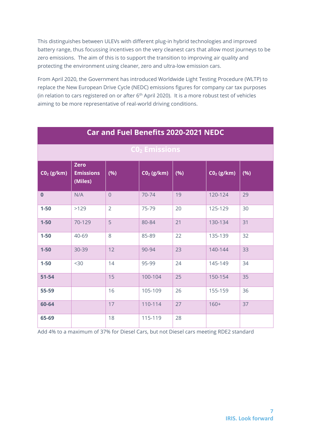This distinguishes between ULEVs with different plug-in hybrid technologies and improved battery range, thus focussing incentives on the very cleanest cars that allow most journeys to be zero emissions. The aim of this is to support the transition to improving air quality and protecting the environment using cleaner, zero and ultra-low emission cars.

From April 2020, the Government has introduced Worldwide Light Testing Procedure (WLTP) to replace the New European Drive Cycle (NEDC) emissions figures for company car tax purposes (in relation to cars registered on or after 6<sup>th</sup> April 2020). It is a more robust test of vehicles aiming to be more representative of real-world driving conditions.

| <b>Car and Fuel Benefits 2020-2021 NEDC</b> |                                            |                |                 |      |              |     |
|---------------------------------------------|--------------------------------------------|----------------|-----------------|------|--------------|-----|
|                                             |                                            |                | $CO2$ Emissions |      |              |     |
| $CO2$ (g/km)                                | <b>Zero</b><br><b>Emissions</b><br>(Miles) | (% )           | $CO2$ (g/km)    | (% ) | $CO2$ (g/km) | (%) |
| $\bf{0}$                                    | N/A                                        | $\overline{0}$ | 70-74           | 19   | 120-124      | 29  |
| $1 - 50$                                    | >129                                       | $\overline{2}$ | 75-79           | 20   | 125-129      | 30  |
| $1 - 50$                                    | 70-129                                     | 5              | 80-84           | 21   | 130-134      | 31  |
| $1 - 50$                                    | 40-69                                      | 8              | 85-89           | 22   | 135-139      | 32  |
| $1 - 50$                                    | 30-39                                      | 12             | 90-94           | 23   | 140-144      | 33  |
| $1 - 50$                                    | $30$                                       | 14             | 95-99           | 24   | 145-149      | 34  |
| 51-54                                       |                                            | 15             | 100-104         | 25   | 150-154      | 35  |
| 55-59                                       |                                            | 16             | 105-109         | 26   | 155-159      | 36  |
| 60-64                                       |                                            | 17             | 110-114         | 27   | $160+$       | 37  |
| 65-69                                       |                                            | 18             | 115-119         | 28   |              |     |

Add 4% to a maximum of 37% for Diesel Cars, but not Diesel cars meeting RDE2 standard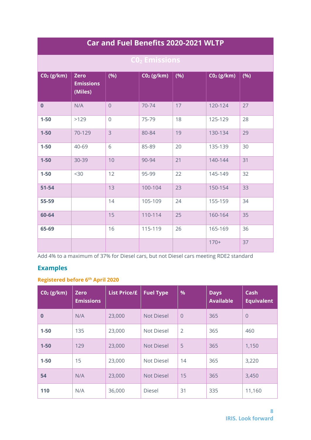| <b>Car and Fuel Benefits 2020-2021 WLTP</b> |                                            |                |                 |     |              |     |
|---------------------------------------------|--------------------------------------------|----------------|-----------------|-----|--------------|-----|
|                                             |                                            |                | $CO2$ Emissions |     |              |     |
| $CO2$ (g/km)                                | <b>Zero</b><br><b>Emissions</b><br>(Miles) | (%)            | $CO2$ (g/km)    | (%) | $CO2$ (g/km) | (%) |
| $\bf{0}$                                    | N/A                                        | $\overline{0}$ | 70-74           | 17  | 120-124      | 27  |
| $1 - 50$                                    | >129                                       | $\overline{0}$ | 75-79           | 18  | 125-129      | 28  |
| $1 - 50$                                    | 70-129                                     | $\overline{3}$ | 80-84           | 19  | 130-134      | 29  |
| $1 - 50$                                    | 40-69                                      | 6              | 85-89           | 20  | 135-139      | 30  |
| $1 - 50$                                    | 30-39                                      | 10             | 90-94           | 21  | 140-144      | 31  |
| $1 - 50$                                    | $30$                                       | 12             | 95-99           | 22  | 145-149      | 32  |
| 51-54                                       |                                            | 13             | 100-104         | 23  | 150-154      | 33  |
| 55-59                                       |                                            | 14             | 105-109         | 24  | 155-159      | 34  |
| 60-64                                       |                                            | 15             | 110-114         | 25  | 160-164      | 35  |
| 65-69                                       |                                            | 16             | 115-119         | 26  | 165-169      | 36  |
|                                             |                                            |                |                 |     | $170+$       | 37  |

Add 4% to a maximum of 37% for Diesel cars, but not Diesel cars meeting RDE2 standard

## <span id="page-7-0"></span>**Examples**

## **Registered before 6th April 2020**

| $CO2$ (g/km) | <b>Zero</b><br><b>Emissions</b> | <b>List Price/£</b> | <b>Fuel Type</b>  | %              | <b>Days</b><br><b>Available</b> | <b>Cash</b><br><b>Equivalent</b> |
|--------------|---------------------------------|---------------------|-------------------|----------------|---------------------------------|----------------------------------|
| $\bf{0}$     | N/A                             | 23,000              | <b>Not Diesel</b> | $\overline{0}$ | 365                             | $\overline{0}$                   |
| $1 - 50$     | 135                             | 23,000              | Not Diesel        | $\overline{2}$ | 365                             | 460                              |
| $1 - 50$     | 129                             | 23,000              | Not Diesel        | 5              | 365                             | 1,150                            |
| $1 - 50$     | 15                              | 23,000              | Not Diesel        | 14             | 365                             | 3,220                            |
| 54           | N/A                             | 23,000              | <b>Not Diesel</b> | 15             | 365                             | 3,450                            |
| 110          | N/A                             | 36,000              | <b>Diesel</b>     | 31             | 335                             | 11,160                           |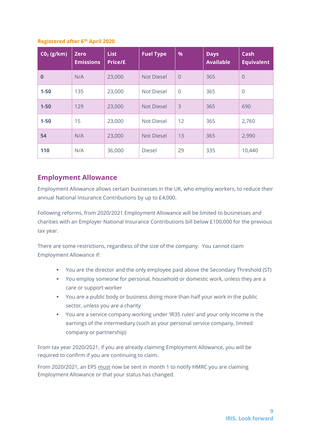#### **Registered after 6th April 2020**

| $CO2$ (g/km) | <b>Zero</b><br><b>Emissions</b> | <b>List</b><br>Price/£ | <b>Fuel Type</b>  | %              | <b>Days</b><br><b>Available</b> | Cash<br><b>Equivalent</b> |
|--------------|---------------------------------|------------------------|-------------------|----------------|---------------------------------|---------------------------|
| $\bf{0}$     | N/A                             | 23,000                 | <b>Not Diesel</b> | $\overline{0}$ | 365                             | $\overline{0}$            |
| $1 - 50$     | 135                             | 23,000                 | <b>Not Diesel</b> | $\Omega$       | 365                             | $\mathbf 0$               |
| $1 - 50$     | 129                             | 23,000                 | Not Diesel        | 3              | 365                             | 690                       |
| $1 - 50$     | 15                              | 23,000                 | Not Diesel        | 12             | 365                             | 2,760                     |
| 54           | N/A                             | 23,000                 | <b>Not Diesel</b> | 13             | 365                             | 2,990                     |
| 110          | N/A                             | 36,000                 | <b>Diesel</b>     | 29             | 335                             | 10,440                    |

## <span id="page-8-0"></span>**Employment Allowance**

Employment Allowance allows certain businesses in the UK, who employ workers, to reduce their annual National Insurance Contributions by up to £4,000.

Following reforms, from 2020/2021 Employment Allowance will be limited to businesses and charities with an Employer National Insurance Contributions bill below £100,000 for the previous tax year.

There are some restrictions, regardless of the size of the company. You cannot claim Employment Allowance if:

- You are the director and the only employee paid above the Secondary Threshold (ST)
- You employ someone for personal, household or domestic work, unless they are a care or support worker
- You are a public body or business doing more than half your work in the public sector, unless you are a charity
- You are a service company working under 'IR35 rules' and your only income is the earnings of the intermediary (such as your personal service company, limited company or partnership)

From tax year 2020/2021, if you are already claiming Employment Allowance, you will be required to confirm if you are continuing to claim.

From 2020/2021, an EPS must now be sent in month 1 to notify HMRC you are claiming Employment Allowance or that your status has changed.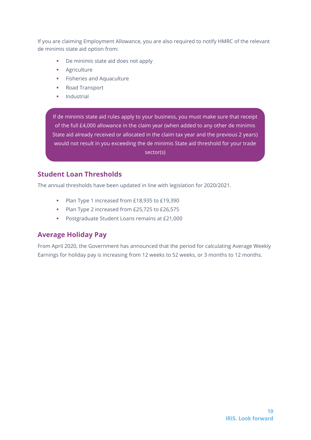If you are claiming Employment Allowance, you are also required to notify HMRC of the relevant de minimis state aid option from:

- De minimis state aid does not apply
- **■** Agriculture
- **•** Fisheries and Aquaculture
- Road Transport
- **■** Industrial

If de minimis state aid rules apply to your business, you must make sure that receipt of the full £4,000 allowance in the claim year (when added to any other de minimis State aid already received or allocated in the claim tax year and the previous 2 years) would not result in you exceeding the de minimis State aid threshold for your trade sector(s)

## <span id="page-9-0"></span>**Student Loan Thresholds**

The annual thresholds have been updated in line with legislation for 2020/2021.

- Plan Type 1 increased from £18,935 to £19,390
- Plan Type 2 increased from £25,725 to £26,575
- Postgraduate Student Loans remains at £21,000

## <span id="page-9-1"></span>**Average Holiday Pay**

From April 2020, the Government has announced that the period for calculating Average Weekly Earnings for holiday pay is increasing from 12 weeks to 52 weeks, or 3 months to 12 months.